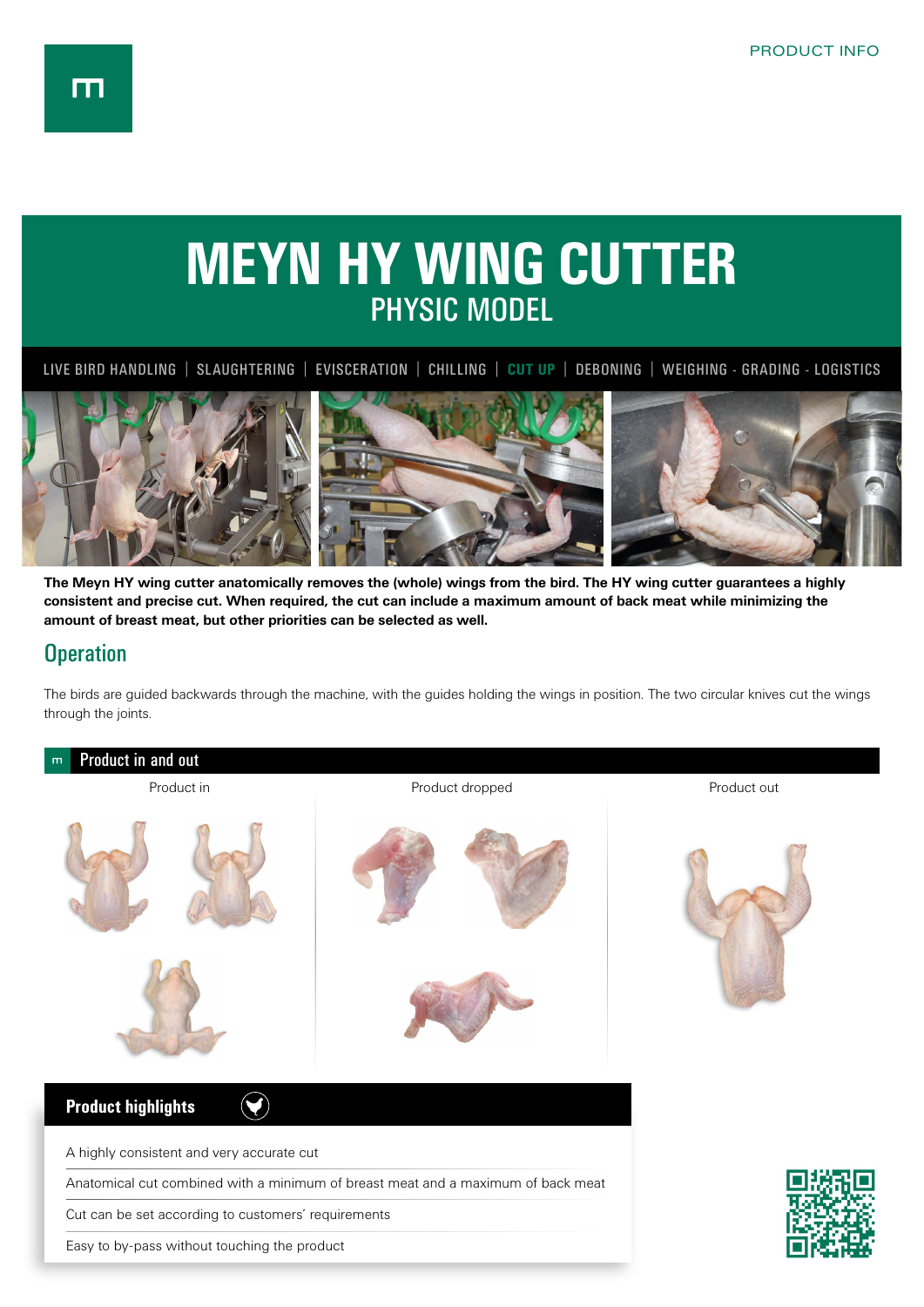## **MEYN HY WING CUTTER** PHYSIC MODEL

LIVE BIRD HANDLING | SLAUGHTERING | EVISCERATION | CHILLING | **CUT UP** | DEBONING | WEIGHING - GRADING - LOGISTICS



**The Meyn HY wing cutter anatomically removes the (whole) wings from the bird. The HY wing cutter guarantees a highly consistent and precise cut. When required, the cut can include a maximum amount of back meat while minimizing the amount of breast meat, but other priorities can be selected as well.**

## **Operation**

The birds are guided backwards through the machine, with the guides holding the wings in position. The two circular knives cut the wings through the joints.